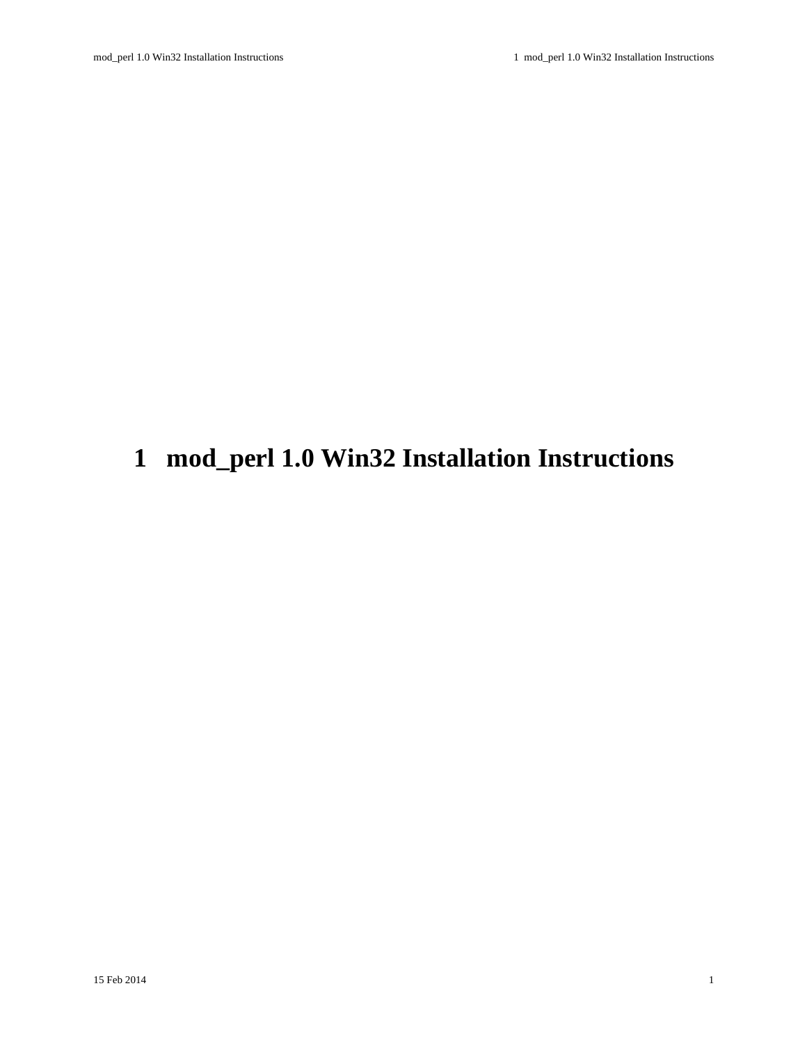# <span id="page-0-0"></span>**1 mod\_perl 1.0 Win32 Installation Instructions**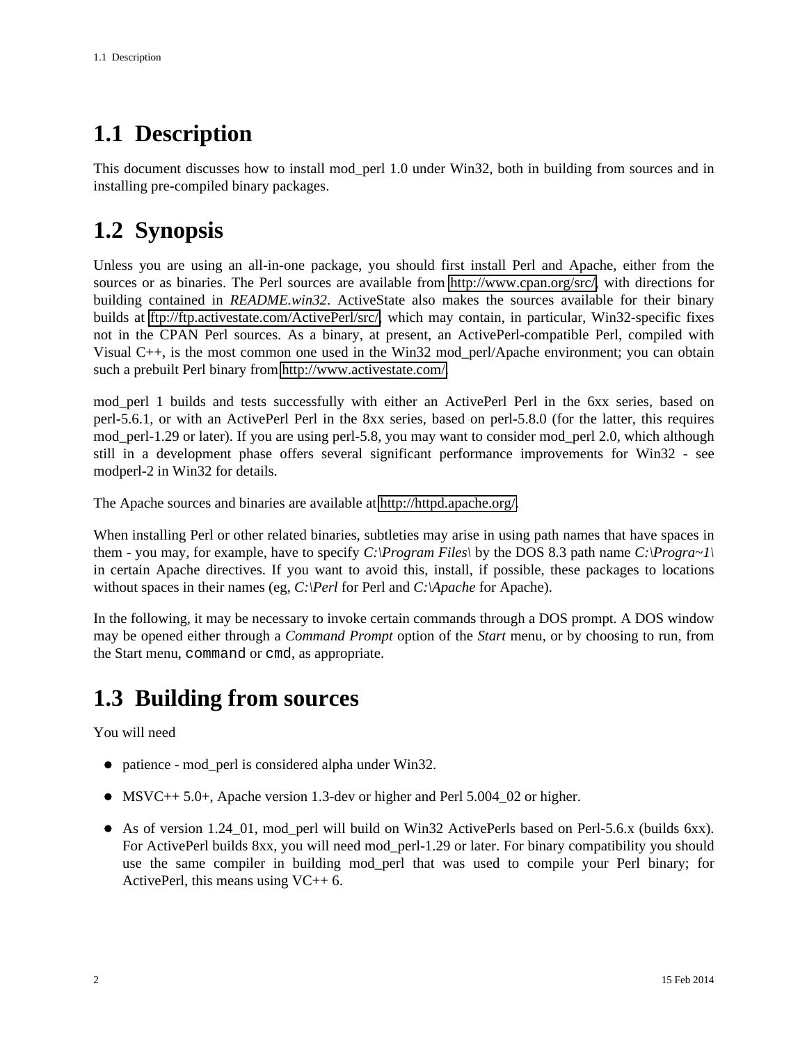# <span id="page-1-0"></span>**1.1 Description**

This document discusses how to install mod\_perl 1.0 under Win32, both in building from sources and in installing pre-compiled binary packages.

# <span id="page-1-1"></span>**1.2 Synopsis**

Unless you are using an all-in-one package, you should first install Perl and Apache, either from the sources or as binaries. The Perl sources are available from [http://www.cpan.org/src/,](http://www.cpan.org/src/) with directions for building contained in *README.win32*. ActiveState also makes the sources available for their binary builds at [ftp://ftp.activestate.com/ActivePerl/src/,](ftp://ftp.activestate.com/ActivePerl/src/) which may contain, in particular, Win32-specific fixes not in the CPAN Perl sources. As a binary, at present, an ActivePerl-compatible Perl, compiled with Visual C++, is the most common one used in the Win32 mod\_perl/Apache environment; you can obtain such a prebuilt Perl binary from [http://www.activestate.com/.](http://www.activestate.com/)

mod\_perl 1 builds and tests successfully with either an ActivePerl Perl in the 6xx series, based on perl-5.6.1, or with an ActivePerl Perl in the 8xx series, based on perl-5.8.0 (for the latter, this requires mod\_perl-1.29 or later). If you are using perl-5.8, you may want to consider mod\_perl 2.0, which although still in a development phase offers several significant performance improvements for Win32 - see modperl-2 in Win32 for details.

The Apache sources and binaries are available at [http://httpd.apache.org/.](http://httpd.apache.org/)

When installing Perl or other related binaries, subtleties may arise in using path names that have spaces in them - you may, for example, have to specify *C:\Program Files\* by the DOS 8.3 path name *C:\Progra~1\* in certain Apache directives. If you want to avoid this, install, if possible, these packages to locations without spaces in their names (eg, *C:\Perl* for Perl and *C:\Apache* for Apache).

In the following, it may be necessary to invoke certain commands through a DOS prompt. A DOS window may be opened either through a *Command Prompt* option of the *Start* menu, or by choosing to run, from the Start menu, command or cmd, as appropriate.

# <span id="page-1-2"></span>**1.3 Building from sources**

You will need

- patience mod perl is considered alpha under Win32.
- MSVC++ 5.0+, Apache version 1.3-dev or higher and Perl 5.004\_02 or higher.
- As of version 1.24\_01, mod\_perl will build on Win32 ActivePerls based on Perl-5.6.x (builds 6xx). For ActivePerl builds 8xx, you will need mod\_perl-1.29 or later. For binary compatibility you should use the same compiler in building mod\_perl that was used to compile your Perl binary; for ActivePerl, this means using  $VC++ 6$ .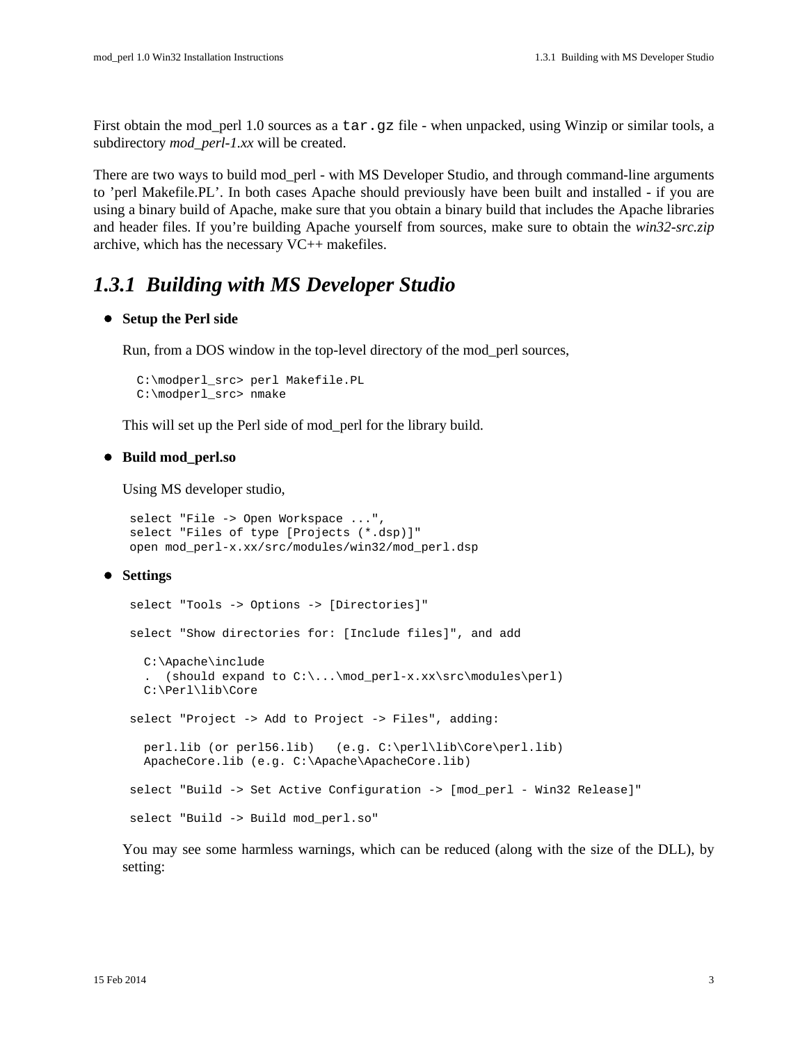First obtain the mod\_perl 1.0 sources as a tar.gz file - when unpacked, using Winzip or similar tools, a subdirectory *mod\_perl-1.xx* will be created.

There are two ways to build mod\_perl - with MS Developer Studio, and through command-line arguments to 'perl Makefile.PL'. In both cases Apache should previously have been built and installed - if you are using a binary build of Apache, make sure that you obtain a binary build that includes the Apache libraries and header files. If you're building Apache yourself from sources, make sure to obtain the *win32-src.zip* archive, which has the necessary VC++ makefiles.

### <span id="page-2-0"></span>*1.3.1 Building with MS Developer Studio*

#### **Setup the Perl side**

Run, from a DOS window in the top-level directory of the mod\_perl sources,

```
 C:\modperl_src> perl Makefile.PL
 C:\modperl_src> nmake
```
This will set up the Perl side of mod\_perl for the library build.

#### **Build mod\_perl.so**

Using MS developer studio,

```
 select "File -> Open Workspace ...", 
 select "Files of type [Projects (*.dsp)]"
 open mod_perl-x.xx/src/modules/win32/mod_perl.dsp
```
#### **Settings**

```
 select "Tools -> Options -> [Directories]"
 select "Show directories for: [Include files]", and add
   C:\Apache\include
  . (should expand to C:\ldots\mod_perl-x.xx\src\modules\perl)
   C:\Perl\lib\Core
 select "Project -> Add to Project -> Files", adding:
   perl.lib (or perl56.lib) (e.g. C:\perl\lib\Core\perl.lib)
   ApacheCore.lib (e.g. C:\Apache\ApacheCore.lib)
 select "Build -> Set Active Configuration -> [mod_perl - Win32 Release]"
 select "Build -> Build mod_perl.so"
```
You may see some harmless warnings, which can be reduced (along with the size of the DLL), by setting: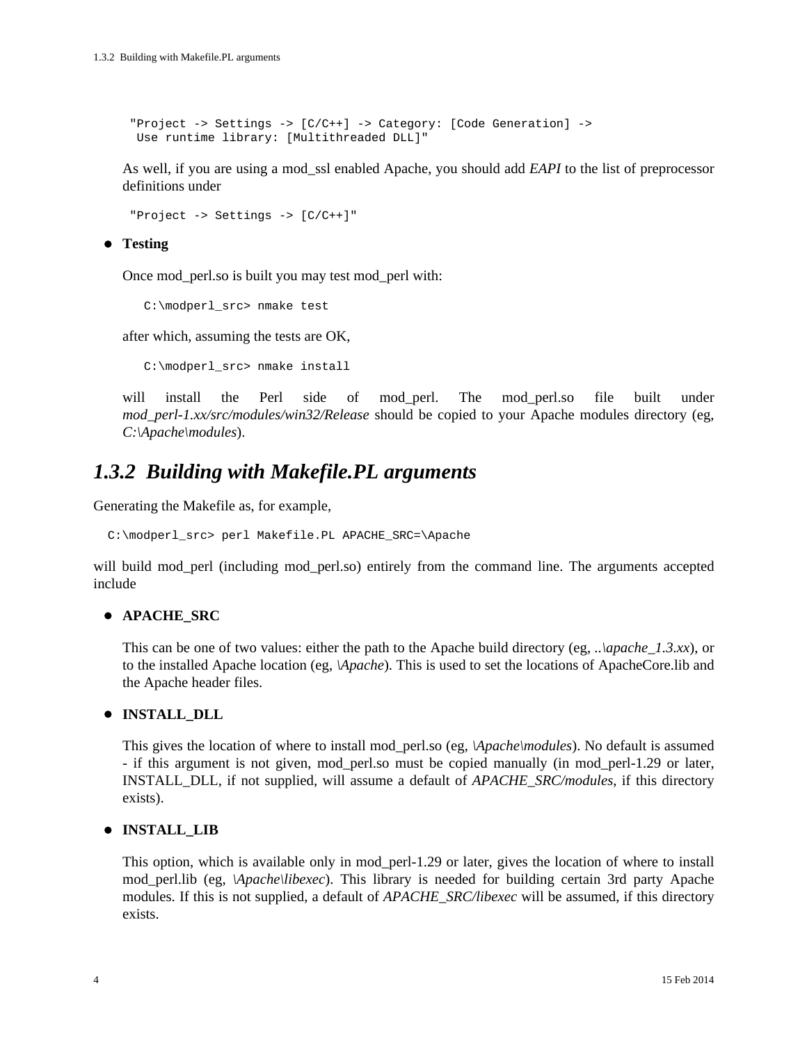```
 "Project -> Settings -> [C/C++] -> Category: [Code Generation] -> 
 Use runtime library: [Multithreaded DLL]"
```
As well, if you are using a mod\_ssl enabled Apache, you should add *EAPI* to the list of preprocessor definitions under

"Project -> Settings -> [C/C++]"

#### **Testing**

Once mod\_perl.so is built you may test mod\_perl with:

C:\modperl\_src> nmake test

after which, assuming the tests are OK,

C:\modperl\_src> nmake install

will install the Perl side of mod\_perl. The mod\_perl.so file built under *mod\_perl-1.xx/src/modules/win32/Release* should be copied to your Apache modules directory (eg, *C:\Apache\modules*).

### <span id="page-3-0"></span>*1.3.2 Building with Makefile.PL arguments*

Generating the Makefile as, for example,

C:\modperl\_src> perl Makefile.PL APACHE\_SRC=\Apache

will build mod perl (including mod perl.so) entirely from the command line. The arguments accepted include

#### **APACHE\_SRC**

This can be one of two values: either the path to the Apache build directory (eg, *..\apache\_1.3.xx*), or to the installed Apache location (eg, *\Apache*). This is used to set the locations of ApacheCore.lib and the Apache header files.

#### **INSTALL\_DLL**

This gives the location of where to install mod\_perl.so (eg, *\Apache\modules*). No default is assumed - if this argument is not given, mod\_perl.so must be copied manually (in mod\_perl-1.29 or later, INSTALL\_DLL, if not supplied, will assume a default of *APACHE\_SRC/modules*, if this directory exists).

#### **INSTALL\_LIB**

This option, which is available only in mod\_perl-1.29 or later, gives the location of where to install mod\_perl.lib (eg, *\Apache\libexec*). This library is needed for building certain 3rd party Apache modules. If this is not supplied, a default of *APACHE\_SRC/libexec* will be assumed, if this directory exists.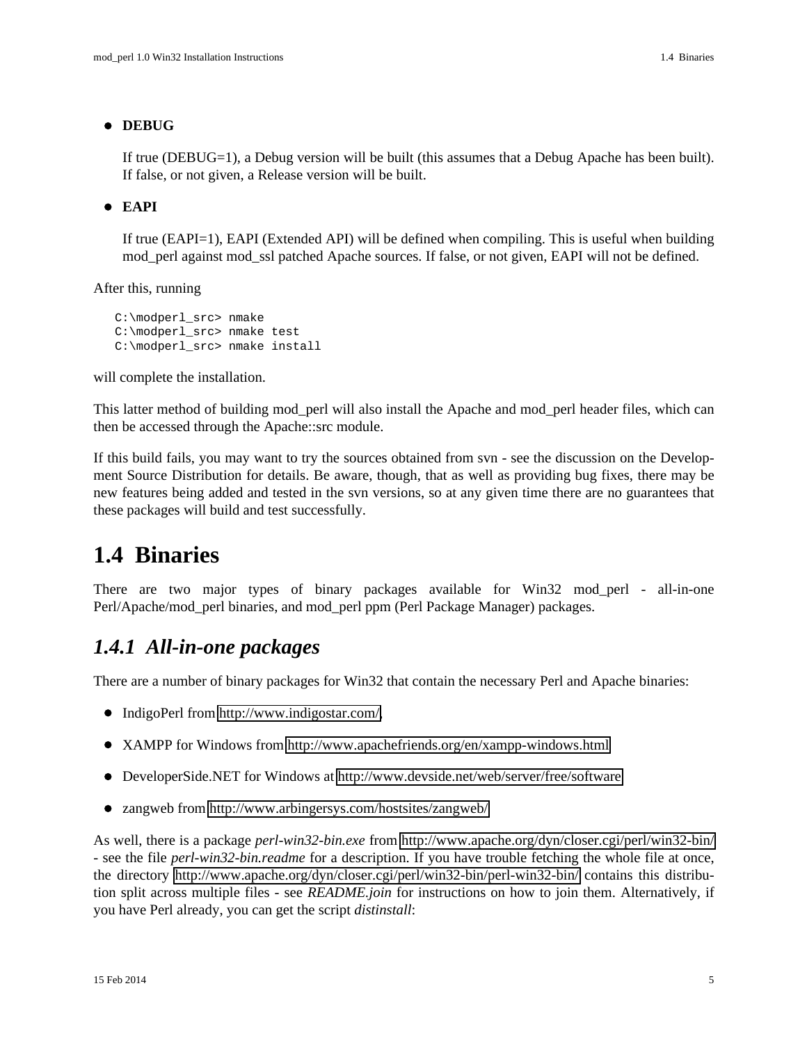#### **DEBUG**

If true (DEBUG=1), a Debug version will be built (this assumes that a Debug Apache has been built). If false, or not given, a Release version will be built.

#### **EAPI**

If true (EAPI=1), EAPI (Extended API) will be defined when compiling. This is useful when building mod perl against mod ssl patched Apache sources. If false, or not given, EAPI will not be defined.

After this, running

```
 C:\modperl_src> nmake
 C:\modperl_src> nmake test
 C:\modperl_src> nmake install
```
will complete the installation.

This latter method of building mod\_perl will also install the Apache and mod\_perl header files, which can then be accessed through the Apache::src module.

If this build fails, you may want to try the sources obtained from svn - see the discussion on the Development Source Distribution for details. Be aware, though, that as well as providing bug fixes, there may be new features being added and tested in the svn versions, so at any given time there are no guarantees that these packages will build and test successfully.

### <span id="page-4-0"></span>**1.4 Binaries**

There are two major types of binary packages available for Win32 mod\_perl - all-in-one Perl/Apache/mod\_perl binaries, and mod\_perl ppm (Perl Package Manager) packages.

### <span id="page-4-1"></span>*1.4.1 All-in-one packages*

There are a number of binary packages for Win32 that contain the necessary Perl and Apache binaries:

- IndigoPerl from [http://www.indigostar.com/,](http://www.indigostar.com/)
- XAMPP for Windows from<http://www.apachefriends.org/en/xampp-windows.html>
- DeveloperSide.NET for Windows at<http://www.devside.net/web/server/free/software>
- zangweb from<http://www.arbingersys.com/hostsites/zangweb/>

As well, there is a package *perl-win32-bin.exe* from<http://www.apache.org/dyn/closer.cgi/perl/win32-bin/> - see the file *perl-win32-bin.readme* for a description. If you have trouble fetching the whole file at once, the directory <http://www.apache.org/dyn/closer.cgi/perl/win32-bin/perl-win32-bin/>contains this distribution split across multiple files - see *README.join* for instructions on how to join them. Alternatively, if you have Perl already, you can get the script *distinstall*: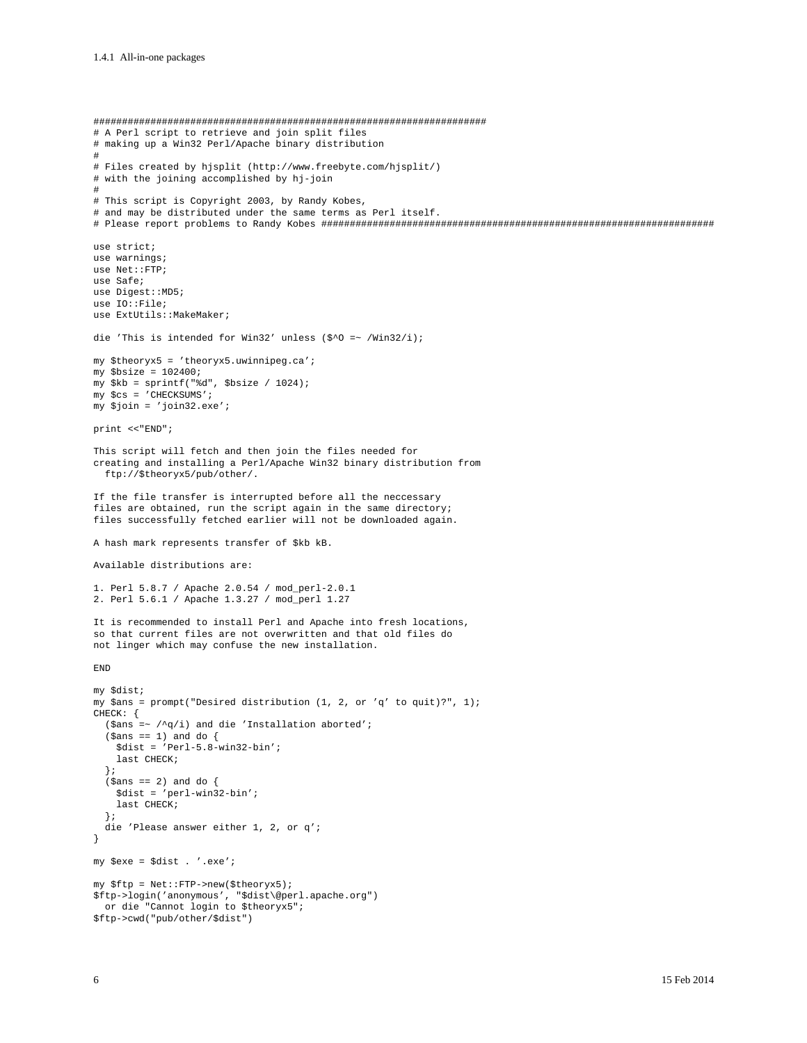##################################################################### # A Perl script to retrieve and join split files # making up a Win32 Perl/Apache binary distribution # # Files created by hjsplit (http://www.freebyte.com/hjsplit/) # with the joining accomplished by hj-join # # This script is Copyright 2003, by Randy Kobes, # and may be distributed under the same terms as Perl itself. # Please report problems to Randy Kobes ##################################################################### use strict; use warnings; use Net::FTP; use Safe; use Digest::MD5; use IO::File; use ExtUtils:: MakeMaker; die 'This is intended for Win32' unless (\$^O =~ /Win32/i); my \$theoryx5 = 'theoryx5.uwinnipeg.ca'; my \$bsize = 102400; my \$kb = sprintf("%d", \$bsize / 1024); my \$cs = 'CHECKSUMS'; my \$join = 'join32.exe'; print <<"END"; This script will fetch and then join the files needed for creating and installing a Perl/Apache Win32 binary distribution from ftp://\$theoryx5/pub/other/. If the file transfer is interrupted before all the neccessary files are obtained, run the script again in the same directory; files successfully fetched earlier will not be downloaded again. A hash mark represents transfer of \$kb kB. Available distributions are: 1. Perl 5.8.7 / Apache 2.0.54 / mod\_perl-2.0.1 2. Perl 5.6.1 / Apache 1.3.27 / mod\_perl 1.27 It is recommended to install Perl and Apache into fresh locations, so that current files are not overwritten and that old files do not linger which may confuse the new installation. END my \$dist; my \$ans = prompt("Desired distribution (1, 2, or 'q' to quit)?", 1); CHECK: { (\$ans =~  $/\gamma q/i$ ) and die 'Installation aborted';  $(\text{5ans} == 1)$  and do { \$dist = 'Perl-5.8-win32-bin'; last CHECK; }; (\$ans == 2) and do { \$dist = 'perl-win32-bin'; last CHECK; }; die 'Please answer either 1, 2, or q'; } my \$exe = \$dist . '.exe'; my \$ftp = Net::FTP->new(\$theoryx5); \$ftp->login('anonymous', "\$dist\@perl.apache.org") or die "Cannot login to \$theoryx5"; \$ftp->cwd("pub/other/\$dist")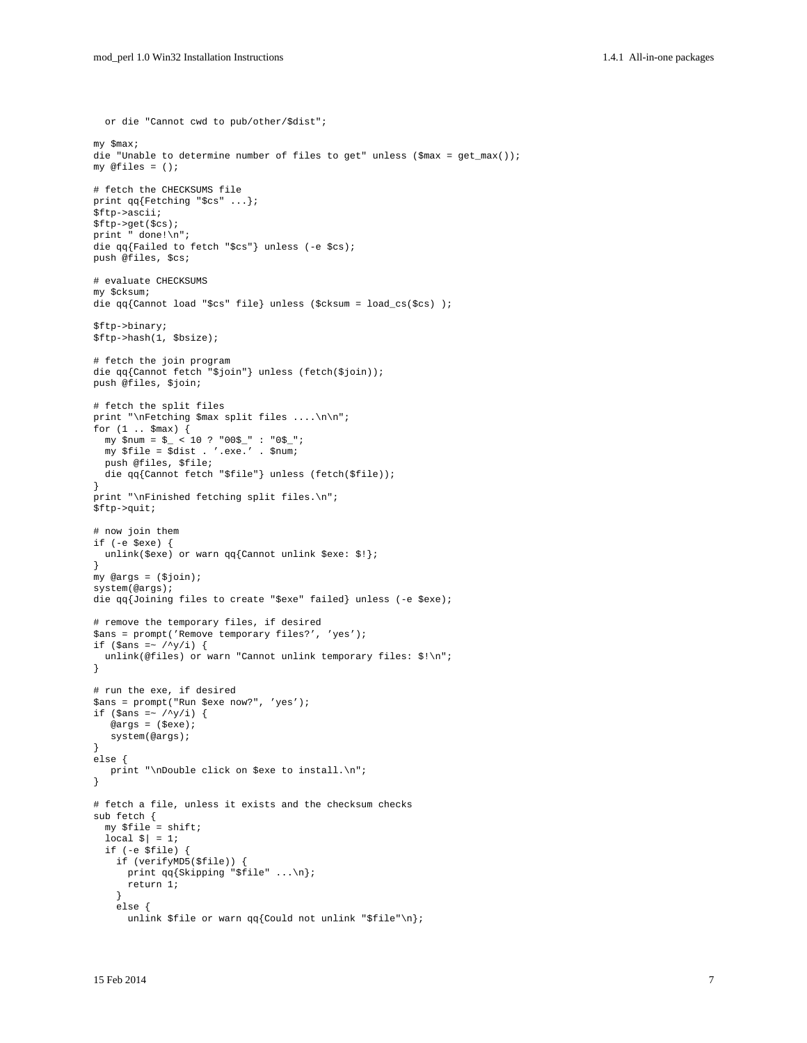```
 or die "Cannot cwd to pub/other/$dist";
my $max;
die "Unable to determine number of files to get" unless ($max = get_max());
my @files = ();
# fetch the CHECKSUMS file
print qq{Fetching "$cs" ...};
$ftp->ascii;
$ftp->get($cs);
print " done!\n";
die qq{Failed to fetch "$cs"} unless (-e $cs);
push @files, $cs;
# evaluate CHECKSUMS
my $cksum;
die qq{Cannot load "$cs" file} unless ($cksum = load_cs($cs) );
$ftp->binary;
$ftp->hash(1, $bsize);
# fetch the join program
die qq{Cannot fetch "$join"} unless (fetch($join));
push @files, $join;
# fetch the split files
print "\nFetching $max split files ....\n\n";
for (1 .. $max) {
  my $num = $_ < 10 ? "00$_" : "0$_";
  my $file = $dist . '.exe.' . $num;
  push @files, $file;
  die qq{Cannot fetch "$file"} unless (fetch($file));
}
print "\nFinished fetching split files.\n";
$ftp->quit;
# now join them
if (-e $exe) {
  unlink($exe) or warn qq{Cannot unlink $exe: $!};
}
my @args = ($join);
system(@args);
die qq{Joining files to create "$exe" failed} unless (-e $exe);
# remove the temporary files, if desired
$ans = prompt('Remove temporary files?', 'yes');
if ($ans =~ /\gamma) {
 unlink(@files) or warn "Cannot unlink temporary files: $!\n";
}
# run the exe, if desired
$ans = prompt("Run $exe now?", 'yes');
if ($ans =~ /\gamma) {
    @args = ($exe);
   system(@args);
}
else {
    print "\nDouble click on $exe to install.\n";
}
# fetch a file, unless it exists and the checksum checks
sub fetch {
  my $file = shift;
 local \vert \ = 1;
   if (-e $file) {
     if (verifyMD5($file)) {
      print qq{Skipping "$file" ...\n};
       return 1;
     }
     else {
      unlink $file or warn qq{Could not unlink "$file"\n};
```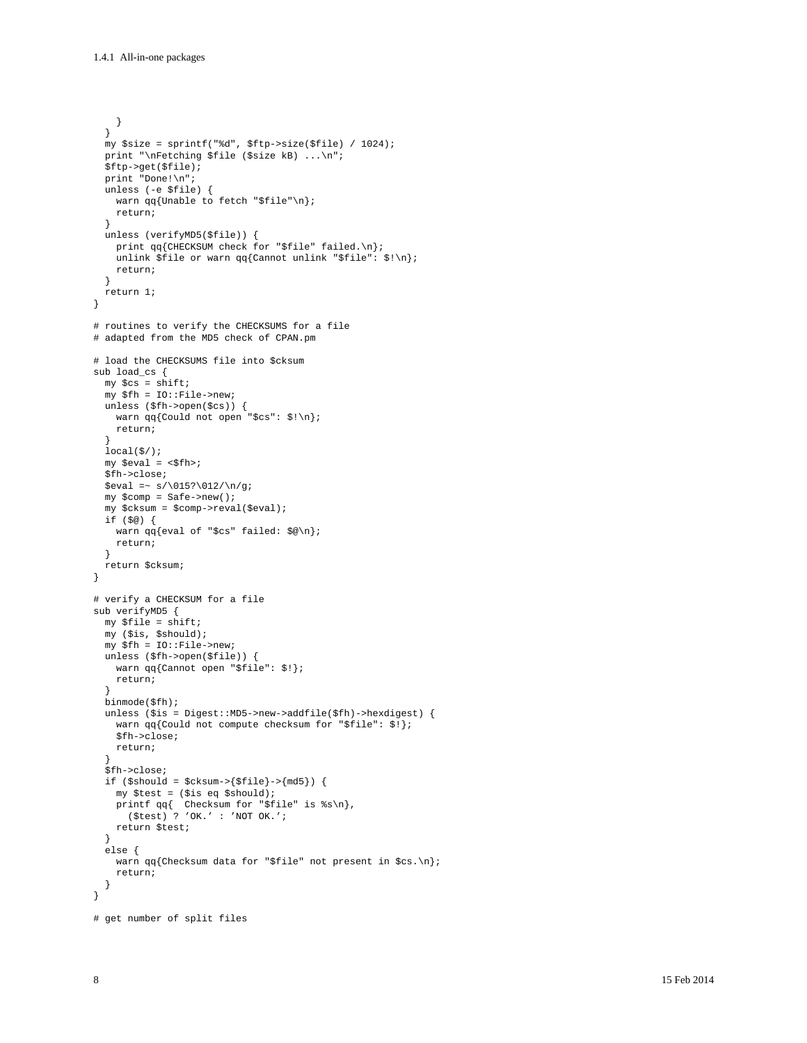```
 }
   }
  my $size = sprintf("%d", $ftp->size($file) / 1024);
  print "\nFetching $file ($size kB) ...\n";
   $ftp->get($file);
 print "Done!\n";
   unless (-e $file) {
    warn qq{Unable to fetch "$file"\n};
    return;
 }
  unless (verifyMD5($file)) {
    print qq{CHECKSUM check for "$file" failed.\n};
    unlink $file or warn qq{Cannot unlink "$file": $!\n};
    return;
   }
  return 1;
}
# routines to verify the CHECKSUMS for a file
# adapted from the MD5 check of CPAN.pm
# load the CHECKSUMS file into $cksum
sub load_cs {
 my $cs = shift;
  my $fh = IO::File->new;
  unless ($fh->open($cs)) {
   warn qq{Could not open "$cs": $!\n};
    return;
 }
  local(\frac{2}{3});
 my $eval = <$fh>;
   $fh->close;
  $eval =~ s/\015?\012/\n/g;
  my $comp = Safe->new();
  my $cksum = $comp->reval($eval);
  if ($@) {
    warn qq{eval of "$cs" failed: $@\n};
    return;
   }
  return $cksum;
}
# verify a CHECKSUM for a file
sub verifyMD5 {
 my $file = shift;
 my ($is, $should);
 my $fh = IO::File->new;
  unless ($fh->open($file)) {
    warn qq{Cannot open "$file": $!};
    return;
 }
   binmode($fh);
  unless ($is = Digest::MD5->new->addfile($fh)->hexdigest) {
     warn qq{Could not compute checksum for "$file": $!};
     $fh->close;
    return;
 }
   $fh->close;
  if ($should = $cksum->{$file}->{md5}) {
    my $test = ($is eq $should);
 printf qq{ Checksum for "$file" is %s\n}, 
 ($test) ? 'OK.' : 'NOT OK.';
    return $test;
   }
   else {
   warn qq{Checksum data for "$file" not present in $cs.\n};
    return;
   }
}
# get number of split files
```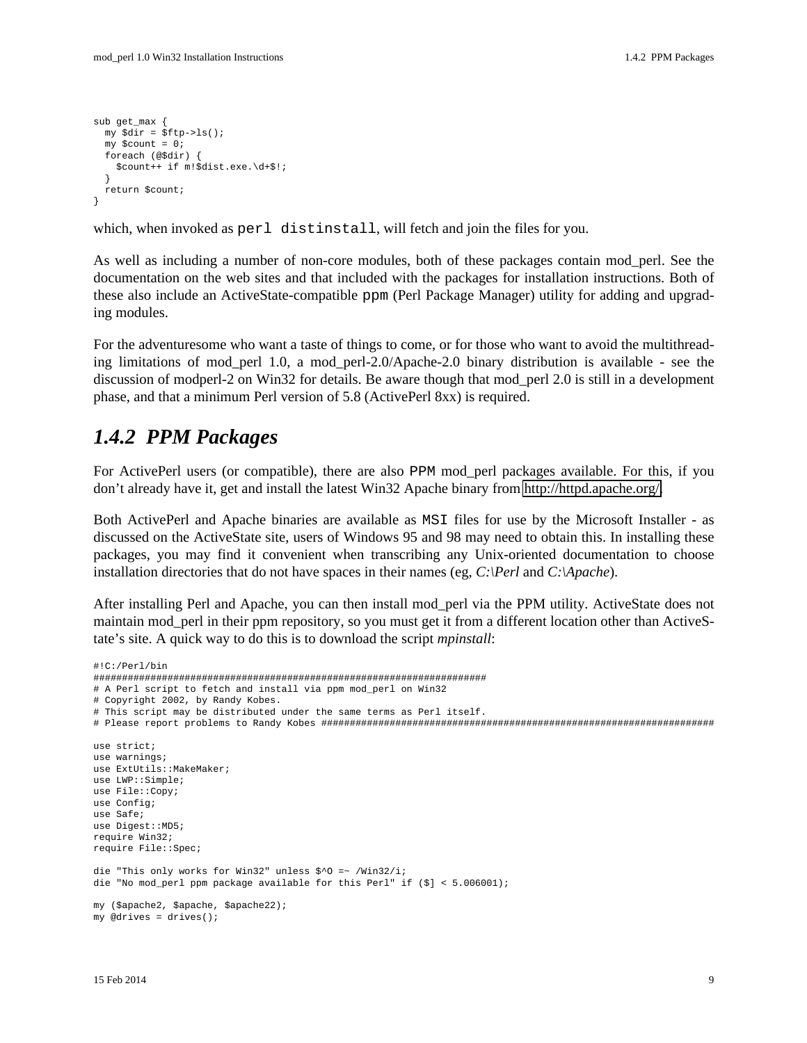```
sub get max {
  my $dir = $ftp->ls();
 mv Scount = 0;
   foreach (@$dir) {
    $count++ if m!$dist.exe.\d+$!;
 }
  return $count;
}
```
which, when invoked as perl distinstall, will fetch and join the files for you.

As well as including a number of non-core modules, both of these packages contain mod\_perl. See the documentation on the web sites and that included with the packages for installation instructions. Both of these also include an ActiveState-compatible ppm (Perl Package Manager) utility for adding and upgrading modules.

For the adventuresome who want a taste of things to come, or for those who want to avoid the multithreading limitations of mod\_perl 1.0, a mod\_perl-2.0/Apache-2.0 binary distribution is available - see the discussion of modperl-2 on Win32 for details. Be aware though that mod\_perl 2.0 is still in a development phase, and that a minimum Perl version of 5.8 (ActivePerl 8xx) is required.

### <span id="page-8-0"></span>*1.4.2 PPM Packages*

For ActivePerl users (or compatible), there are also PPM mod\_perl packages available. For this, if you don't already have it, get and install the latest Win32 Apache binary from [http://httpd.apache.org/.](http://httpd.apache.org/)

Both ActivePerl and Apache binaries are available as MSI files for use by the Microsoft Installer - as discussed on the ActiveState site, users of Windows 95 and 98 may need to obtain this. In installing these packages, you may find it convenient when transcribing any Unix-oriented documentation to choose installation directories that do not have spaces in their names (eg, *C:\Perl* and *C:\Apache*).

After installing Perl and Apache, you can then install mod\_perl via the PPM utility. ActiveState does not maintain mod\_perl in their ppm repository, so you must get it from a different location other than ActiveState's site. A quick way to do this is to download the script *mpinstall*:

```
#!C:/Perl/bin
#####################################################################
# A Perl script to fetch and install via ppm mod_perl on Win32
# Copyright 2002, by Randy Kobes.
# This script may be distributed under the same terms as Perl itself.
# Please report problems to Randy Kobes #####################################################################
use strict;
use warnings;
use ExtUtils::MakeMaker;
use LWP::Simple;
use File::Copy;
use Config;
use Safe;
use Digest::MD5;
require Win32;
require File::Spec;
die "This only works for Win32" unless $^O =~ /Win32/i;
die "No mod_perl ppm package available for this Perl" if ($] < 5.006001);
my ($apache2, $apache, $apache22);
my @drives = drives();
```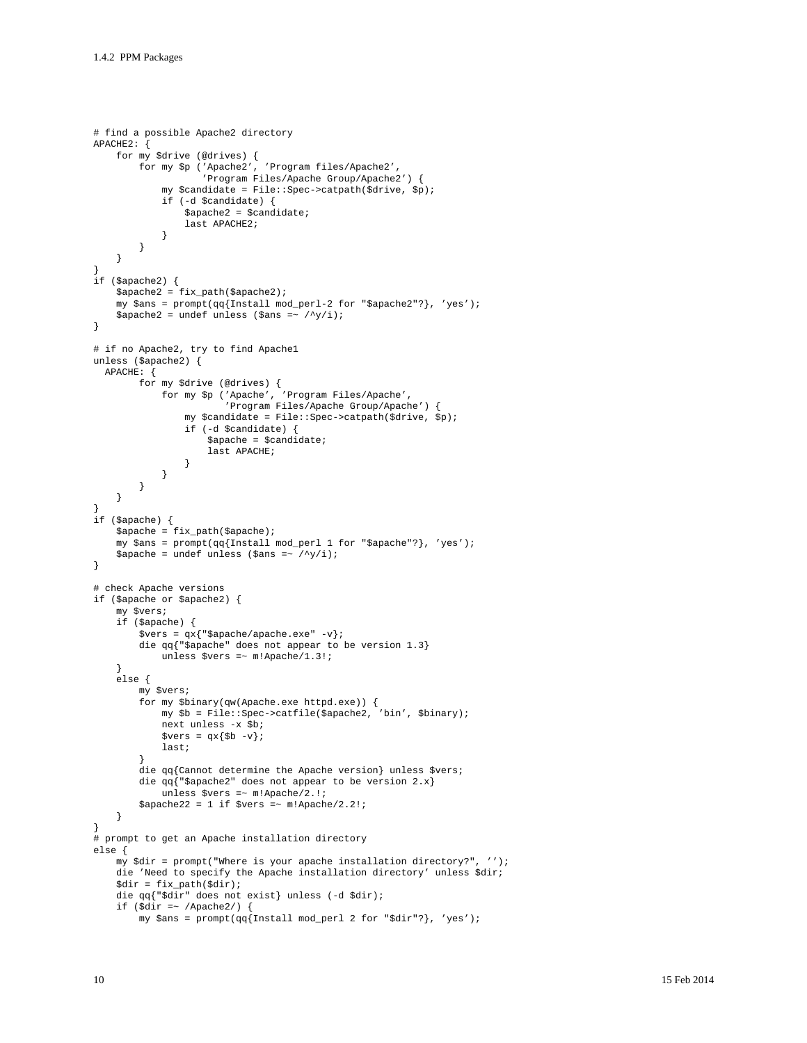```
# find a possible Apache2 directory
APACHE2: {
     for my $drive (@drives) {
          for my $p ('Apache2', 'Program files/Apache2', 
                      'Program Files/Apache Group/Apache2') {
              my $candidate = File::Spec->catpath($drive, $p);
              if (-d $candidate) {
                  $apache2 = $candidate;last APACHE2;
 }
         }
     }
}
if ($apache2) {
     $apache2 = fix_path($apache2);
    my \ = prompt(qq{Install mod_perl-2 for "$apache2"?}, 'yes');
    $apache2 = under unless ($ans = ~ / \gamma/i);}
# if no Apache2, try to find Apache1
unless ($apache2) {
  APACHE: {
 for my $drive (@drives) {
 for my $p ('Apache', 'Program Files/Apache', 
                           'Program Files/Apache Group/Apache') {
                   my $candidate = File::Spec->catpath($drive, $p);
                   if (-d $candidate) {
                        $apache = $candidate;
                  last APACHE;
 }
 }
         }
     }
}
if ($apache) {
     $apache = fix_path($apache);
     my $ans = prompt(qq{Install mod_perl 1 for "$apache"?}, 'yes');
    \frac{1}{2} \frac{1}{2} \frac{1}{2} \frac{1}{2} \frac{1}{2} \frac{1}{2} \frac{1}{2} \frac{1}{2} \frac{1}{2} \frac{1}{2} \frac{1}{2} \frac{1}{2} \frac{1}{2} \frac{1}{2} \frac{1}{2} \frac{1}{2} \frac{1}{2} \frac{1}{2} \frac{1}{2} \frac{1}{2} \frac{1}{2} \frac{1}{2} }
# check Apache versions 
if ($apache or $apache2) {
     my $vers;
     if ($apache) {
          $vers = qx{"$apache/apache.exe" -v};
         die qq{"$apache" does not appear to be version 1.3}
              unless $vers =~ m!Apache/1.3!;
     }
     else {
          my $vers;
          for my $binary(qw(Apache.exe httpd.exe)) {
              my $b = File::Spec->catfile($apache2, 'bin', $binary);
              next unless -x $b;
             $vers = qx{$b -v}; last;
 }
          die qq{Cannot determine the Apache version} unless $vers;
          die qq{"$apache2" does not appear to be version 2.x}
             unless $vers =~ m!Apache/2.!;
         $apache22 = 1 if $vers = ~ m! Apache/2.2!;
     }
}
# prompt to get an Apache installation directory
else {
     my $dir = prompt("Where is your apache installation directory?", '');
     die 'Need to specify the Apache installation directory' unless $dir;
    \text{Sdir} = \text{fix path}(\text{Sdir}); die qq{"$dir" does not exist} unless (-d $dir);
    if (\text{Sdir} = \sim / \text{Apacket2}) {
         my $ans = prompt(qq{Install mod_perl 2 for "$dir"?}, 'yes');
```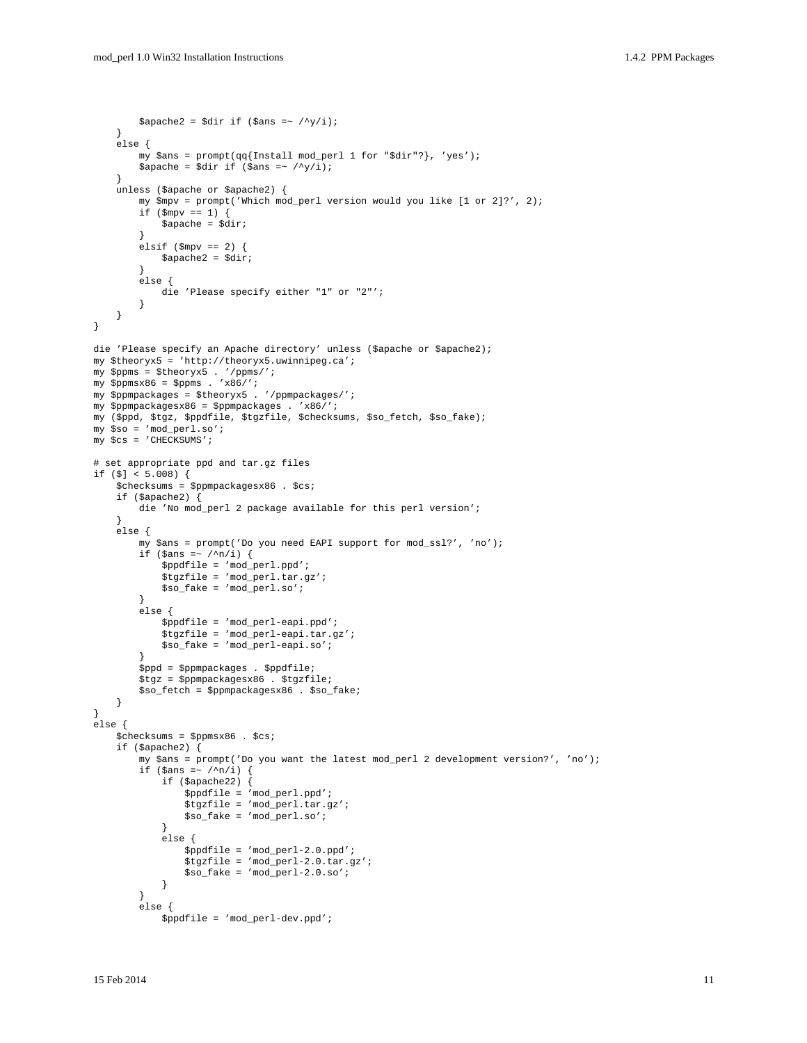```
$apache2 = $dir if ($ans =~ /\gamma/i);
     -1
     else fmy $ans = prompt(qq{Install mod_perl 1 for "$dir"?}, 'yes');
          $apache = $dir if ($ans = \sqrt{y/i});
     -1
     unless ($apache or $apache2) {
          my $mpv = prompt('Which mod_perl version would you like [1 or 2]?', 2);
          if ({\rm \Smpv} == 1) {
              \text{Span} = \text{Gdir}}
          elsif ($mpv == 2) {
              $apache2 = $diri\mathcal{E}elsedie 'Please specify either "1" or "2"';
          \}\}\}die 'Please specify an Apache directory' unless ($apache or $apache2);
my $theoryx5 = 'http://theoryx5.uwinnipeg.ca';
my $ppms = $theoryx5 . '/ppms/';
my $ppmsx86 = $ppms \cdot 'x86/';
my $ppmpackages = $theoryx5 . '/ppmpackages/';
my $ppmpackagesx86 = $ppmpackages . 'x86/';
my ($ppd, $tgz, $ppdfile, $tgzfile, $checksums, $so_fetch, $so_fake);
my $so = 'mod perl.so';
my $cs = 'CHECKSUMS';
# set appropriate ppd and tar.gz files
if (\$] < 5.008 {
     $checksums = $ppmpackagesx86 . $cs;
     if (\text{spache2}) {
          die 'No mod_perl 2 package available for this perl version';
     else {
          my $ans = prompt('Do you need EAPI support for mod_ssl?', 'no');
          if ($ans = \sim /^n/i) {
              $ppdfile = 'mod\_perl.ppd' {\text{ ;}}$tgzfile = 'mod_perl.tar.gz';
              $so_fake = 'mod_perl.so';\mathcal{E}else {
              $ppdfile = 'mod_perl-eapi.ppd';
              $tgzfile = 'mod_perl-eapi.tar.gz';
              $so_fake = 'mod\_perl-eapi.so';$ppd = $ppmpackages . $ppdfile;
          $tgz = $ppmpackagesx86 . $tgzfile;
          $so_fetch = $ppmpackagesx86 . $so_fake;
     \mathcal{E}-1
else {
     $checksums = $ppmsx86 . $cs;
     if (\text{spache2}) {
          my $ans = prompt('Do you want the latest mod_perl 2 development version?', 'no');
          if (\text{sans} = \gamma / n / i)if (\text{Spache22}) {
                    $ppdfile = 'mod per1.ppd';
                   $tgzfile = 'mod_perl.tar.gz';
                   $so_fake = 'mod\_perl.so';
               \rightarrow\text{else}$ppdfile = 'mod\_perl-2.0.ppd' {\text{;}}\frac{1}{2} = \frac{1}{2} = \frac{1}{2} = \frac{1}{2} = \frac{1}{2} = \frac{1}{2} = \frac{1}{2} = \frac{1}{2} = \frac{1}{2} = \frac{1}{2} = \frac{1}{2} = \frac{1}{2} = \frac{1}{2} = \frac{1}{2} = \frac{1}{2} = \frac{1}{2} = \frac{1}{2} = \frac{1}{2} = \frac{1$so_fake = 'mod_per1-2.0.so'\mathcal{E}ļ
          else {
              $ppdfile = 'mod\_perl-dev.ppd':
```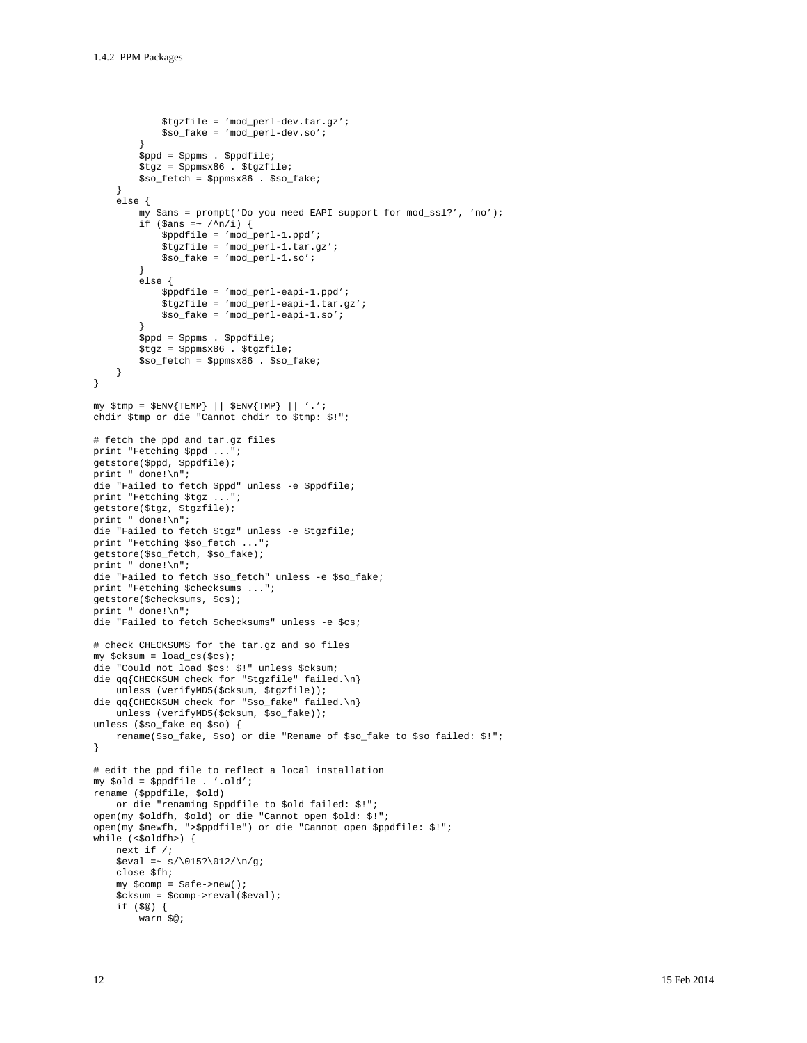```
$tgzfile = 'mod_perl-dev.tar.gz';
            $so_fake = 'mod\_perl-dev.so'\mathcal{L}$ppd = $ppms. $ppdfile$tgs = $pmsx86. $tgsfile$so_fetch = $ppmsx86. $so_fake;
    \rightarrowelse {
        my $ans = prompt('Do you need EAPI support for mod_ssl?', 'no');
        if (\text{Sans} = \gamma / n/i) {
            $ppdfile = 'mod\_perl-1.ppd';
            $tgzfile = 'mod_perl-1.tar.gz';
            $so_fake = 'mod\_perl-1.so'\mathcal{E}else {
            $ppdfile = 'mod\_perl-eapi-1.ppd';$tgzfile = 'mod_perl-eapi-1.tar.gz';
            $so_fake = 'mod\_perl-eapi-1.so'$ppd = $ppms. $ppdfile;$tgz = $ppmsx86 . $tgzfile;
        $so_fetch = $ppmsx86 . $so_fake;\left\{ \right\}\mathcal{E}my $tmp = $ENV{TEMP} || $END ] ||chdir $tmp or die "Cannot chdir to $tmp: $!";
# fetch the ppd and tar.gz files
print "Fetching $ppd ...";
getstore($ppd, $ppdfile);
print " done!\n";
die "Failed to fetch $ppd" unless -e $ppdfile;
print "Fetching $tgz ...";
getstore($tgz, $tgzfile);
print " done!\n";
die "Failed to fetch $tgz" unless -e $tgzfile;
print "Fetching $so_fetch ...";
getstore($so_fetch, $so_fake);
print " done!\n";
die "Failed to fetch $so_fetch" unless -e $so_fake;
print "Fetching $checksums ...";
qetstore($checksums, $cs);
print " done! \n\n\in ;
die "Failed to fetch $checksums" unless -e $cs;
# check CHECKSUMS for the tar.gz and so files
my $cksum = load_cs($cs);
die "Could not load $cs: $!" unless $cksum;
die qq{CHECKSUM check for "$tgzfile" failed.\n}
    unless (verifyMD5($cksum, $tgzfile));
die qq{CHECKSUM check for "$so_fake" failed.\n}
   unless (verifyMD5($cksum, $so_fake));
unless ($so_fake eq $so) {
    rename($so_fake, $so) or die "Rename of $so_fake to $so failed: $!";
\mathcal{E}# edit the ppd file to reflect a local installation
my $old = $ppdfile . '.old';
rename ($ppdfile, $old)
   or die "renaming $ppdfile to $old failed: $!";
open(my $oldfh, $old) or die "Cannot open $old: $!";
open(my $newfh, ">$ppdfile") or die "Cannot open $ppdfile: $!";
while (\leq \text{oldfh}) {
    next if /i$eval =~ s/\015?\012/\ng;
    close $fh;
    my $comp = Safe->new();
    $cksum = $comp->reval($eval);
    if (\$@) \{warn $@;
```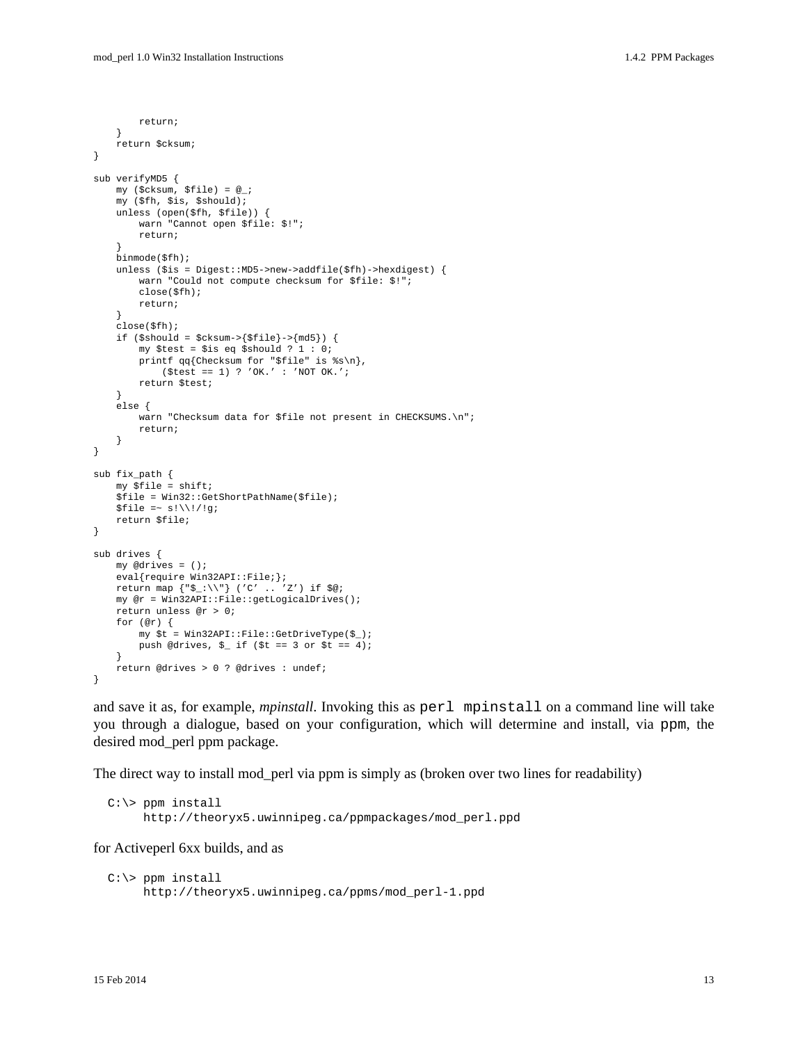```
 return;
     }
     return $cksum;
}
sub verifyMD5 {
    my ($cksum, $file) = @_;
     my ($fh, $is, $should);
     unless (open($fh, $file)) {
         warn "Cannot open $file: $!";
         return;
     }
     binmode($fh);
     unless ($is = Digest::MD5->new->addfile($fh)->hexdigest) {
         warn "Could not compute checksum for $file: $!";
         close($fh);
         return;
     }
     close($fh);
    if (\$should = $cksum->\$file\}-\{md5\}) {
         my $test = $is eq $should ? 1 : 0;
         printf qq{Checksum for "$file" is %s\n}, 
            ($test == 1) ? 'OK.' : 'NOT OK.';
         return $test;
     }
     else {
        warn "Checksum data for $file not present in CHECKSUMS.\n";
         return;
     }
}
sub fix_path {
     my $file = shift;
     $file = Win32::GetShortPathName($file);
    $file =~ s!\\!/!g;
     return $file;
}
sub drives {
    my @drives = ();
    eval{require Win32API::File;};
    return map {"$_:\\"} ('C' .. 'Z') if $@;
    my @r = Win32API::File::getLogicalDrives();
     return unless @r > 0;
     for (@r) {
         my $t = Win32API::File::GetDriveType($_);
        push @drives, \zeta if (\zetat == 3 or \zetat == 4);
 }
     return @drives > 0 ? @drives : undef;
}
```
and save it as, for example, *mpinstall*. Invoking this as perl mpinstall on a command line will take you through a dialogue, based on your configuration, which will determine and install, via ppm, the desired mod\_perl ppm package.

The direct way to install mod\_perl via ppm is simply as (broken over two lines for readability)

```
 C:\> ppm install
      http://theoryx5.uwinnipeg.ca/ppmpackages/mod_perl.ppd
```
for Activeperl 6xx builds, and as

```
C:\rangle ppm install
      http://theoryx5.uwinnipeg.ca/ppms/mod_perl-1.ppd
```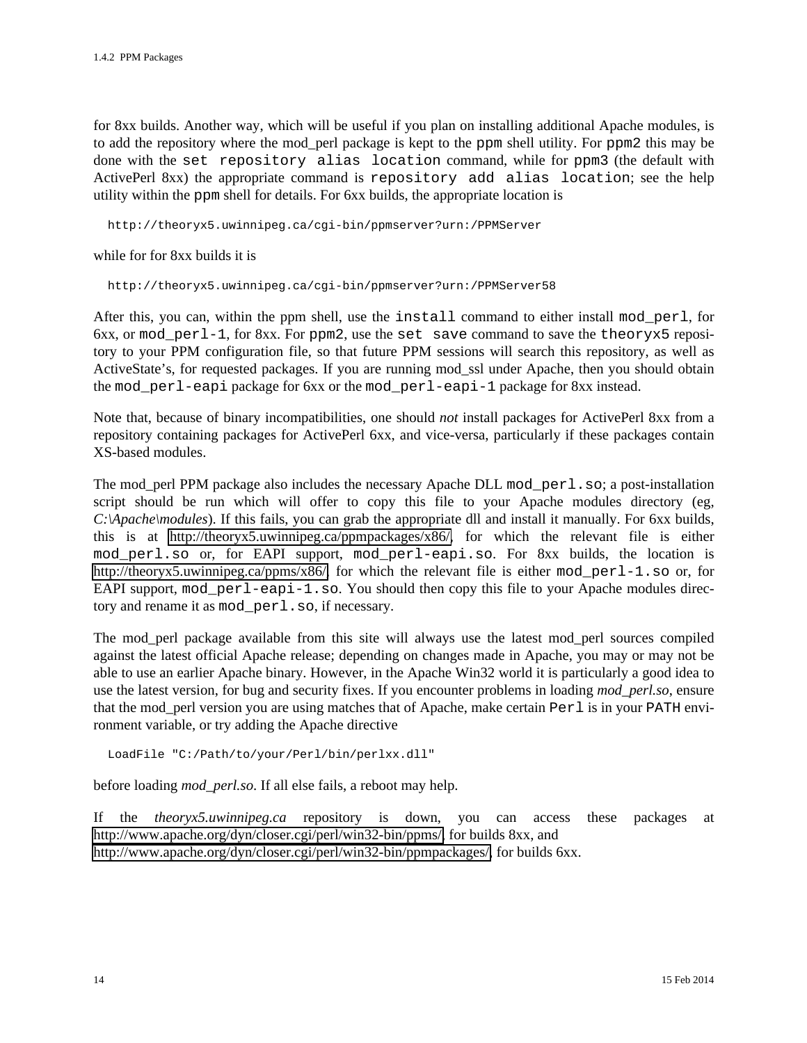for 8xx builds. Another way, which will be useful if you plan on installing additional Apache modules, is to add the repository where the mod\_perl package is kept to the ppm shell utility. For ppm2 this may be done with the set repository alias location command, while for ppm3 (the default with ActivePerl 8xx) the appropriate command is repository add alias location; see the help utility within the ppm shell for details. For 6xx builds, the appropriate location is

http://theoryx5.uwinnipeg.ca/cgi-bin/ppmserver?urn:/PPMServer

while for for 8xx builds it is

http://theoryx5.uwinnipeg.ca/cgi-bin/ppmserver?urn:/PPMServer58

After this, you can, within the ppm shell, use the install command to either install mod\_perl, for  $6xx$ , or mod  $perl-1$ , for 8xx. For ppm2, use the set save command to save the theoryx5 repository to your PPM configuration file, so that future PPM sessions will search this repository, as well as ActiveState's, for requested packages. If you are running mod\_ssl under Apache, then you should obtain the mod\_perl-eapi package for 6xx or the mod\_perl-eapi-1 package for 8xx instead.

Note that, because of binary incompatibilities, one should *not* install packages for ActivePerl 8xx from a repository containing packages for ActivePerl 6xx, and vice-versa, particularly if these packages contain XS-based modules.

The mod\_perl PPM package also includes the necessary Apache DLL mod\_perl.so; a post-installation script should be run which will offer to copy this file to your Apache modules directory (eg, *C:\Apache\modules*). If this fails, you can grab the appropriate dll and install it manually. For 6xx builds, this is at [http://theoryx5.uwinnipeg.ca/ppmpackages/x86/,](http://theoryx5.uwinnipeg.ca/ppmpackages/x86/) for which the relevant file is either mod perl.so or, for EAPI support, mod perl-eapi.so. For 8xx builds, the location is [http://theoryx5.uwinnipeg.ca/ppms/x86/,](http://theoryx5.uwinnipeg.ca/ppms/x86/) for which the relevant file is either mod\_perl-1.so or, for EAPI support, mod  $perl-$ eapi-1.so. You should then copy this file to your Apache modules directory and rename it as mod\_perl.so, if necessary.

The mod perl package available from this site will always use the latest mod perl sources compiled against the latest official Apache release; depending on changes made in Apache, you may or may not be able to use an earlier Apache binary. However, in the Apache Win32 world it is particularly a good idea to use the latest version, for bug and security fixes. If you encounter problems in loading *mod\_perl.so*, ensure that the mod\_perl version you are using matches that of Apache, make certain Perl is in your PATH environment variable, or try adding the Apache directive

LoadFile "C:/Path/to/your/Perl/bin/perlxx.dll"

before loading *mod\_perl.so*. If all else fails, a reboot may help.

If the *theoryx5.uwinnipeg.ca* repository is down, you can access these packages at [http://www.apache.org/dyn/closer.cgi/perl/win32-bin/ppms/,](http://www.apache.org/dyn/closer.cgi/perl/win32-bin/ppms/) for builds 8xx, and [http://www.apache.org/dyn/closer.cgi/perl/win32-bin/ppmpackages/,](http://www.apache.org/dyn/closer.cgi/perl/win32-bin/ppmpackages/) for builds 6xx.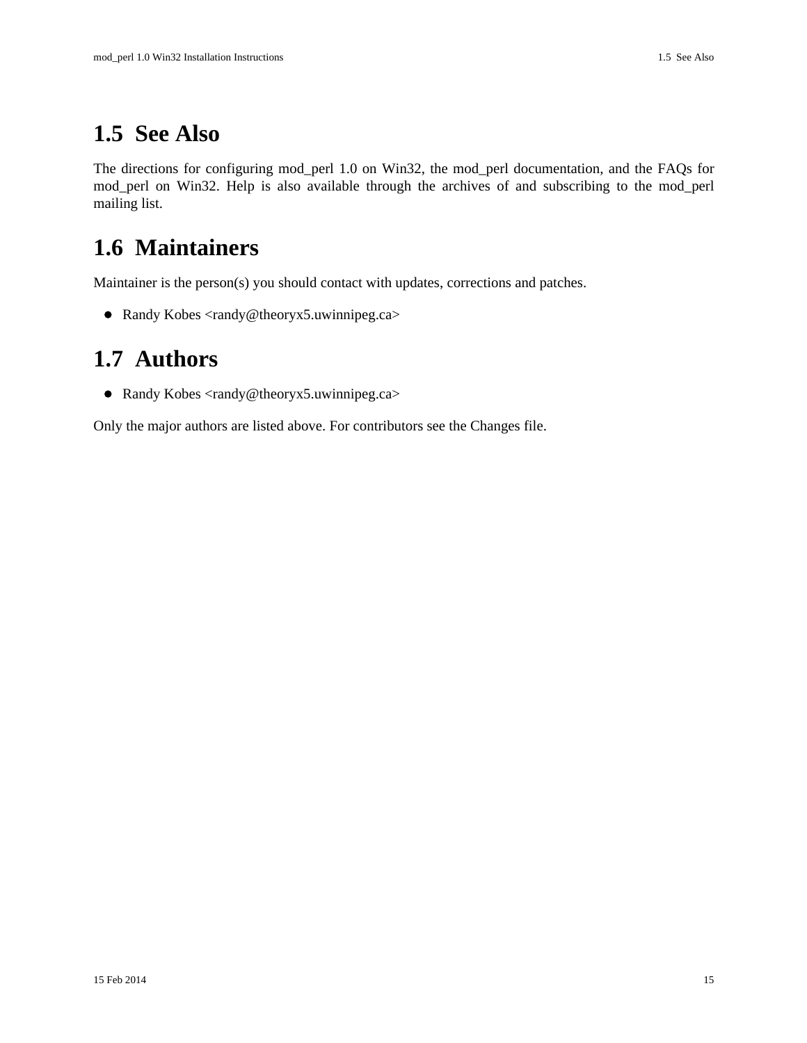### <span id="page-14-0"></span>**1.5 See Also**

The directions for configuring mod\_perl 1.0 on Win32, the mod\_perl documentation, and the FAQs for mod\_perl on Win32. Help is also available through the archives of and subscribing to the mod\_perl mailing list.

### <span id="page-14-1"></span>**1.6 Maintainers**

Maintainer is the person(s) you should contact with updates, corrections and patches.

• Randy Kobes <randy@theoryx5.uwinnipeg.ca>

### <span id="page-14-2"></span>**1.7 Authors**

● Randy Kobes <randy@theoryx5.uwinnipeg.ca>

Only the major authors are listed above. For contributors see the Changes file.